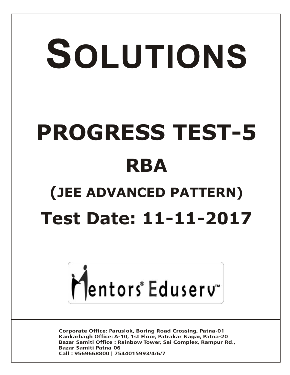# SOLUTIONS **PROGRESS TEST-5 RBA (JEE ADVANCED PATTERN) Test Date: 11-11-2017**



**Corporate Office: Paruslok, Boring Road Crossing, Patna-01** Kankarbagh Office: A-10, 1st Floor, Patrakar Nagar, Patna-20 Bazar Samiti Office: Rainbow Tower, Sai Complex, Rampur Rd., **Bazar Samiti Patna-06** Call: 9569668800 | 7544015993/4/6/7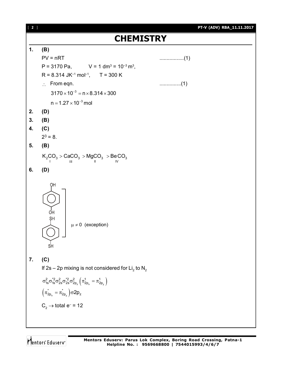

Mentors<sup>®</sup> Eduserv<sup>®</sup>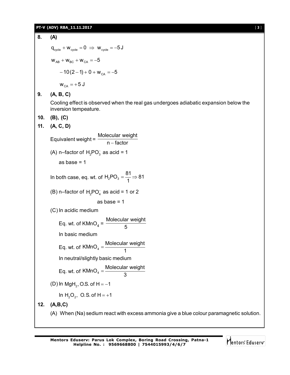#### **PT-V (ADV) RBA\_11.11.2017** [ **3** ]

**8. (A)**  $q_{\text{cycle}} + w_{\text{cycle}} = 0 \Rightarrow w_{\text{cycle}} = -5J$  $W_{AB} + W_{BC} + W_{CA} = -5$  $-10(2-1) + 0 + w_{CA} = -5$  $W_{CA} = +5 J$ **9. (A, B, C)** Cooling effect is observed when the real gas undergoes adiabatic expansion below the inversion tempeature. **10. (B), (C) 11. (A, C, D)** Equivalent weight = Molecular weight n – factor (A) n–factor of  $H_2PO_3^-$  as acid = 1 as base  $= 1$ In both case, eq. wt. of  $H_2PO_3 = \frac{81}{4} \Rightarrow 81$ 1  $=\frac{3!}{4} \Rightarrow$ (B) n–factor of  $H_2PO_4^-$  as acid = 1 or 2 as base  $= 1$ (C) In acidic medium Eq. wt. of  $KMnO<sub>4</sub> =$ Molecular weight 5 In basic medium Eq. wt. of  $KMnO_4 = \frac{Molecular weight}{4}$ 1  $=$ In neutral/slightly basic medium Eq. wt. of  $KMnO_4 = \frac{Molecular weight}{2}$ 3  $=$ (D) In MgH<sub>2</sub>, O.S. of H =  $-1$ In  $H_2O_2$ , O.S. of H = +1 **12. (A,B,C)** (A) When (Na) sedium react with excess ammonia give a blue colour paramagnetic solution.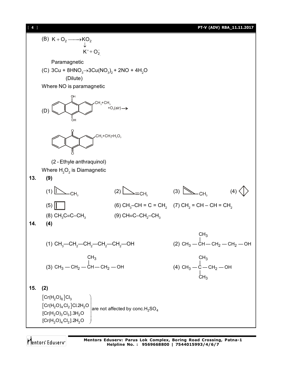[ **4** ] **PT-V (ADV) RBA\_11.11.2017**

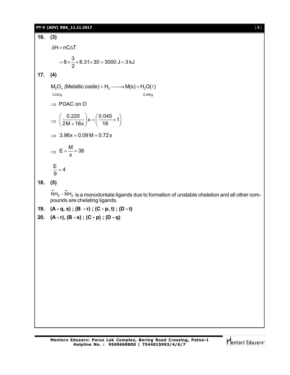#### **PT-V (ADV) RBA\_11.11.2017** [ **5** ]

**16. (3)**  $\Delta H = nC \Delta T$  $8 \times \frac{3}{5} \times 8.31 \times 30 = 3000 \text{ J} = 3 \text{ kJ}$ 2  $= 8 \times \frac{6}{6} \times 8.31 \times 30 = 3000 \text{ J} = 3$ **17. (4)**  $\mathsf{M}_{2}\mathsf{O}_{\mathsf{x}}$  (Metallic oxide) +  $\mathsf{H}_{2}$  ——> $\mathsf{M}(\mathsf{s})$  +  $\mathsf{H}_{2}\mathsf{O}(\ell)$ 0.220g 0.045g  $\Rightarrow$  POAC on O  $\Rightarrow \left(\frac{0.220}{2M+16x}\right) x = \left(\frac{0.045}{18} \times 1\right)$  $\left(\frac{0.220}{2M + 16x}\right)$ x =  $\left(\frac{0.045}{18} \times 1\right)$  $\Rightarrow$  3.96x = 0.09 M + 0.72 x  $\Rightarrow$  $E = \frac{M}{1} = 36$ x  $=$   $\frac{1}{2}$   $=$  3  $\frac{E}{2}$  = 4 9  $=$ 

**18. (5)**

 $\ddot{\text{NH}}_2 - \ddot{\text{NH}}_2$  is a monodontate ligands due to formation of unstable chelation and all other compounds are chelating ligands.

- **19. (A q, s) ; (B r) ; (C p, t) ; (D t)**
- **20. (A r), (B s) ; (C p) ; (D q)**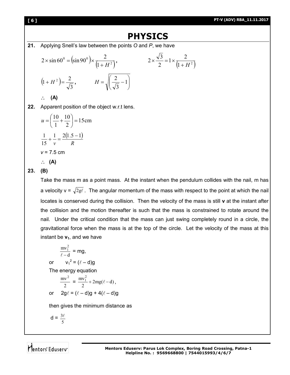#### **[ 6 ] PT-V (ADV) RBA\_11.11.2017**

## **PHYSICS**

**21.** Applying Snell's law between the points *O* and *P*, we have

$$
2 \times \sin 60^{\circ} = (\sin 90^{\circ}) \times \frac{2}{(1+H^2)}, \qquad 2 \times \frac{\sqrt{3}}{2} = 1 \times \frac{2}{(1+H^2)}
$$
  

$$
(1+H^2) = \frac{2}{\sqrt{3}}, \qquad H = \sqrt{\left(\frac{2}{\sqrt{3}} - 1\right)}
$$

**(A)**

**22.** Apparent position of the object w.r.t lens.

$$
u = \left(\frac{10}{1} + \frac{10}{2}\right) = 15 \text{ cm}
$$
  

$$
\frac{1}{15} + \frac{1}{v} = \frac{2(1.5 - 1)}{R}
$$
  

$$
v = 7.5 \text{ cm}
$$
  

$$
\therefore \textbf{(A)}
$$

### **23. (B)**

Take the mass m as a point mass. At the instant when the pendulum collides with the nail, m has a velocity  $v = \sqrt{2g\ell}$ . The angular momentum of the mass with respect to the point at which the nail locates is conserved during the collision. Then the velocity of the mass is still **v** at the instant after the collision and the motion thereafter is such that the mass is constrained to rotate around the nail. Under the critical condition that the mass can just swing completely round in a circle, the gravitational force when the mass is at the top of the circle. Let the velocity of the mass at this instant be  $v_1$ , and we have

$$
\frac{mv_1^2}{\ell - d} = mg,
$$
  
or  $v_1^2 = (\ell - d)g$   
The energy equation  

$$
\frac{mv^2}{2} = \frac{mv_1^2}{2} + 2mg(\ell - d),
$$
  
or  $2g\ell = (\ell - d)g + 4(\ell - d)g$   
then gives the minimum distance as

 $d = \frac{34}{5}$  $3\ell$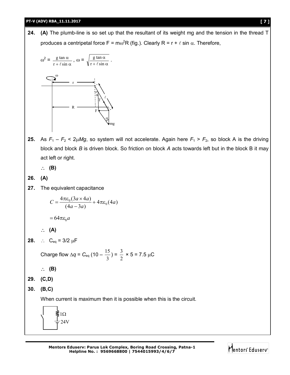#### **PT-V (ADV) RBA\_11.11.2017 [ 7 ]**

**24. (A)** The plumb-line is so set up that the resultant of its weight mg and the tension in the thread T produces a centripetal force F =  $\text{m}\omega^2 \text{R}$  (fig.). Clearly R = r +  $\ell$  sin  $\alpha$ . Therefore,



**25.** As  $F_1 - F_2 < 2\mu Mg$ , so system will not accelerate. Again here  $F_1 > F_2$ , so block A is the driving block and block *B* is driven block. So friction on block *A* acts towards left but in the block B it may act left or right.

**(B)**

$$
26. (A)
$$

**27.** The equivalent capacitance

$$
C = \frac{4\pi\varepsilon_0(3a \times 4a)}{(4a - 3a)} + 4\pi\varepsilon_0(4a)
$$

 $=64\pi \varepsilon_0 a$ 

$$
\therefore (A)
$$

**28.**  $\therefore$  C<sub>eq</sub> = 3/2 µF

Charge flow  $\Delta q$  =  $C_{\text{eq}}$  (10 – 3  $\frac{15}{2}$ ) = 2  $\frac{3}{2}$  × 5 = 7.5 µC

- **(B)**
- **29. (C,D)**
- **30. (B,C)**

When current is maximum then it is possible when this is the circuit.



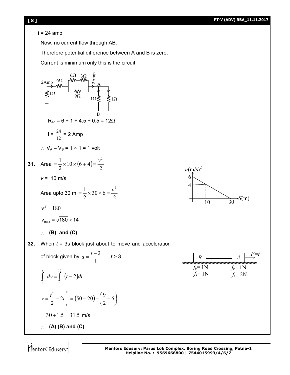#### i = 24 amp

Now, no current flow through AB.

Therefore potential difference between A and B is zero.

Current is minimum only this is the circuit

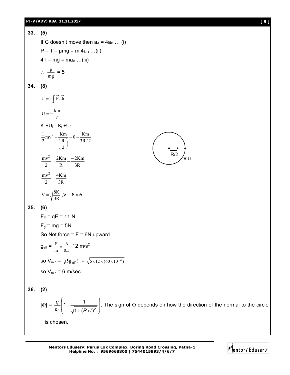#### **PT-V (ADV) RBA\_11.11.2017 [ 9 ]**

**33. (5)** If C doesn't move then  $a_A = 4a_B$  ... (i)  $P - T - \mu mg = m 4a_B ... (ii)$  $4T - mg = ma_B$  ...(iii)  $\therefore \frac{P}{mg}$  $\frac{p}{-} = 5$ **34. (8)**  $U = -\int \vec{F} \cdot d\vec{r}$  $U = -\frac{km}{r}$  $K_i + U_i = K_f + U_f$  $0 - \frac{Km}{3R/2}$ 2 R  $\frac{1}{2}mv^2 - \frac{Km}{(R)}$  $\frac{1}{2}mv^2 - \frac{Km}{(R)} = 0$  – J J  $\left(\frac{R}{2}\right)$  $\setminus$ ſ -3R 2Km R 2Km 2  $\frac{mv^2}{2} = \frac{2Km}{2} - \frac{2}{m}$ 3R 4Km 2 mv 2  $=$ 3R  $V = \sqrt{\frac{8K}{2R}}$ ,  $V = 8$  m/s **35. (6)**  $F_F = qE = 11 N$  $F_q = mg = 5N$ So Net force  $=$   $F = 6N$  upward  $g_{\text{eff}} = \frac{r}{m} = \frac{0}{0.5}$ 6 m  $F = \frac{6}{35}$  12 m/s<sup>2</sup> so V<sub>min</sub> =  $\sqrt{5g_{\text{eff}}}\ell = \sqrt{5 \times 12 \times (60 \times 10^{-2})}$ so  $V_{min} = 6$  m/sec **36. (2)**  $|\Phi| = \frac{q}{\varepsilon_0} \left( 1 - \frac{1}{\sqrt{1 + (P/I)^2}} \right)$  $\bigg)$  $\setminus$ L |  $\setminus$ ſ  $\ddot{}$  $\overline{\phantom{a}}$  $\varepsilon_0$   $\sqrt{1 + (R/l)^2}$  $1 - \frac{1}{\sqrt{1 - \frac{1}{\sqrt{1 - \frac{1}{\sqrt{1 - \frac{1}{\sqrt{1 - \frac{1}{\sqrt{1 - \frac{1}{\sqrt{1 - \frac{1}{\sqrt{1 - \frac{1}{\sqrt{1 - \frac{1}{\sqrt{1 - \frac{1}{\sqrt{1 - \frac{1}{\sqrt{1 - \frac{1}{\sqrt{1 - \frac{1}{\sqrt{1 - \frac{1}{\sqrt{1 - \frac{1}{\sqrt{1 - \frac{1}{\sqrt{1 - \frac{1}{\sqrt{1 - \frac{1}{\sqrt{1 - \frac{1}{\sqrt{1 - \frac{1}{\sqrt{1 - \frac{1}{\sqrt{1 - \frac{1}{\sqrt{$ *R l*  $\frac{q}{1-\frac{1}{\sqrt{q}}}\Big|$ . The sign of  $\Phi$  depends on how the direction of the normal to the circle is chosen. u R/2

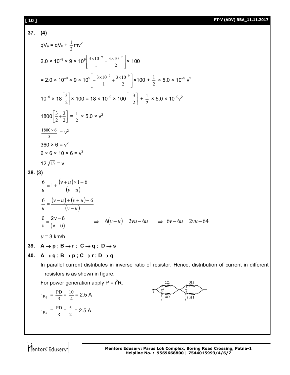#### **[ 10 ] PT-V (ADV) RBA\_11.11.2017**

37. (4)  
\n
$$
qV_a = qV_b + \frac{1}{2}mv^2
$$
\n2.0 × 10<sup>-9</sup> × 9 × 10<sup>9</sup>  $\left[\frac{3 \times 10^{-9}}{1} - \frac{3 \times 10^{-9}}{2}\right]$  × 100\n
$$
= 2.0 × 10^{-9} × 9 × 10^{9}  $\left[-\frac{3 \times 10^{-9}}{1} + \frac{3 \times 10^{-9}}{2}\right]$  × 100\n
$$
= 2.0 × 10^{-9} × 9 × 10^{9}  $\left[-\frac{3 \times 10^{-9}}{1} + \frac{3 \times 10^{-9}}{2}\right]$  × 100 +  $\frac{1}{2}$  × 5.0 × 10<sup>-9</sup> v<sup>2</sup>\n
$$
10^{-9} × 18  $\left[\frac{3}{2}\right]$  × 100 = 18 × 10<sup>-9</sup> × 100  $\left[-\frac{3}{2}\right] + \frac{1}{2}$  × 5.0 × 10<sup>-9</sup> v<sup>2</sup>\n
$$
\frac{1800 × 6}{5} = v^2
$$
\n360 × 6 = v<sup>2</sup>\n
$$
12\sqrt{15} = v
$$
\n38. (3)  
\n
$$
\frac{6}{u} = 1 + \frac{(v+u) \times 1 - 6}{(v-u)}
$$
\n
$$
\frac{6}{u} = \frac{(v-u)(v+u)-6}{(v-u)}
$$
\n
$$
\frac{6}{u} = \frac{2v-6}{(v-u)}
$$
\n39. (4)  
\n40. A → p; B → r; C → q; D → s\n40. A → q; B → p; C → r; D → q\n
$$
10 \text{ parallel current distributes in inverse ratio of resistor. Hence, distribution of current in different resistivities in inverse ratio of resistor. Hence, distribution of current in different resistivities in inverse ratio of resistor. Hence, distribution of current in different resistories in answer generation apply P = i2R.\nFor power generation apply P = i2R.\n
$$
i_{R_3} = \frac{p_1}{R} = \frac{10}{4} = 2.5
$$
A
$$
$$
$$
$$

Mentors<sup>e</sup> Eduserv<sup>®</sup>

 $i_{R_4} = \frac{11}{R}$ 

 $\frac{PD}{R} = \frac{5}{2}$ 

 $\frac{5}{2}$  = 2.5 A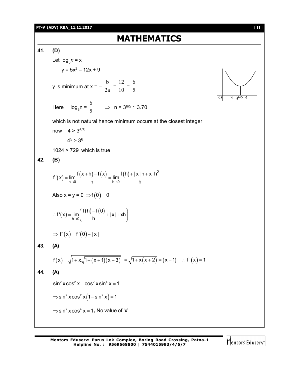#### **PT-V (ADV) RBA\_11.11.2017** [ **11** ]

## **MATHEMATICS**

**41. (D)** Let  $log_3 n = x$  $y = 5x^2 - 12x + 9$ y is minimum at x = –  $\frac{1}{2a}$ b  $=\frac{1}{10}$ 12  $=\frac{1}{5}$ 6 Here  $\log_3 n = \frac{1}{5}$ 6  $\Rightarrow$  n = 3<sup>6/5</sup>  $\approx$  3.70 which is not natural hence minimum occurs at the closest integer now  $4 > 3^{6/5}$  $4^5 > 3^6$ 1024 > 729 which is true **42. (B)**  $(x) = \lim_{h \to 0} \frac{f(x+h) - f(x)}{h} = \lim_{h \to 0} \frac{f(h) + |x|h + x \cdot h^2}{h}$ h $\rightarrow$ 0 h h $\rightarrow$ 0  $f(x+h)-f(x)$  f(h)+|x|h+x·h  $f'(x) = \lim_{x \to 0} \frac{f(x+1) - f(x)}{x} = \lim_{x \to 0}$  $\rightarrow 0$  h  $h \rightarrow 0$  h  $+h)-f(x)$  f(h)+|x|h+x $\cdot$ h  $= \lim_{x \to 0} \frac{f(x+y) - f(x)}{y} = 1$ Also  $x = y = 0 \implies f(0) = 0$  $(x) = \lim_{h \to 0} \left( \frac{f(h) - f(0)}{h} \right)$  $f'(x) = \lim_{h \to 0} \left( \frac{f(h) - f(0)}{h} + |x| + xh \right)$  $\rightarrow 0$  h  $(f(h)-f(0))$  $f'(x) = \lim_{h\to 0} \left( \frac{f'(x) - f'(x)}{h} + |x| + xh \right)$  $\Rightarrow f'(x) = f'(0) + |x|$ **43. (A)**  $f(x) = \sqrt{1 + x\sqrt{1 + (x + 1)(x + 3)}} = \sqrt{1 + x(x + 2)} = (x + 1) \quad \therefore f'(x) = 1$ **44. (A)**  $\sin^2 x \cos^2 x - \cos^2 x \sin^4 x = 1$  $\Rightarrow$ sin<sup>2</sup> x cos<sup>2</sup> x (1 – sin<sup>2</sup> x) = 1  $\Rightarrow$ sin<sup>2</sup>  $x \cos^4 x = 1$ , No value of 'x'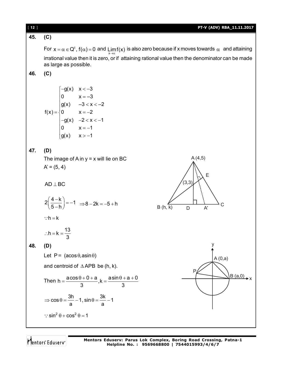#### **45. (C)**

For  ${\sf x}=\alpha\in{\sf Q}^\mathrm{c}$ ,  ${\sf f}(\alpha)$  =  $0$  and  ${\sf Limf}({\sf x})$  is also zero because if x moves towards  $\alpha$  and attaining x  $\rightarrow \alpha$ irrational value then it is zero, or if attaining rational value then the denominator can be made as large as possible.

**46. (C)**

$$
f(x) = \begin{cases} -g(x) & x < -3 \\ 0 & x = -3 \\ g(x) & -3 < x < -2 \\ 0 & x = -2 \\ -g(x) & -2 < x < -1 \\ 0 & x = -1 \\ g(x) & x > -1 \end{cases}
$$

**47. (D)**

The image of A in  $y = x$  will lie on BC  $A' = (5, 4)$ 

 $AD \perp BC$ 

$$
2\left(\frac{4-k}{5-h}\right) = -1 \implies 8-2k = -5+h
$$
  
:
$$
\therefore h = k
$$

$$
\therefore h = k = \frac{13}{3}
$$

**48. (D)**

Let  $P = (a\cos\theta, a\sin\theta)$ and centroid of  $\triangle$  APB be (h, k). Then  $h = \frac{a \cos \theta + 0 + a}{2}$ ,  $k = \frac{a \sin \theta + a + 0}{2}$ 3 3  $=\frac{a\cos\theta+0+a}{2}, k=\frac{a\sin\theta+a+c}{2}$  $\cos \theta = \frac{3h}{2} - 1$ ,  $\sin \theta = \frac{3k}{2} - 1$ a <sup>a</sup> a  $\therefore$  sin<sup>2</sup>  $\theta$  + cos<sup>2</sup>  $\theta$  = 1



Mentors Eduserv

**Mentors Eduserv: Parus Lok Complex, Boring Road Crossing, Patna-1 Helpline No. : 9569668800 | 7544015993/4/6/7**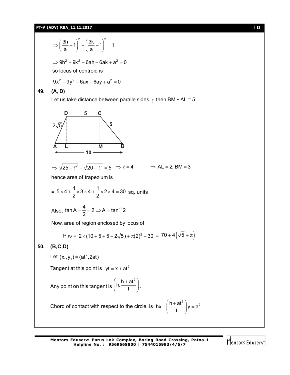#### **PT-V (ADV) RBA\_11.11.2017** [ **13** ]

 $\left(\frac{3h}{2}-1\right)^2 + \left(\frac{3k}{2}-1\right)^2 = 1$  $\Rightarrow \left(\frac{3h}{a}-1\right)^2+\left(\frac{3k}{a}-1\right)^2=$  $\Rightarrow$  9h<sup>2</sup> + 9k<sup>2</sup> – 6ah – 6ak + a<sup>2</sup> = 0 so locus of centroid is  $9x^2 + 9y^2 - 6ax - 6ay + a^2 = 0$ **49. (A, D)** Let us take distance between paralle sides  $\ell$  then BM + AL = 5 **A B D C L M 5 5**  $2\sqrt{5}$ **10**  $\Rightarrow \sqrt{25 - \ell^2} + \sqrt{20 - \ell^2} = 5 \Rightarrow \ell = 4 \Rightarrow AL = 2, BM = 3$ hence area of trapezium is =  $5 \times 4 + \frac{1}{2} \times 3 \times 4 + \frac{1}{2} \times 2 \times 4 = 30$  $\times$ 4+ $\frac{1}{2}$  $\times$ 3 $\times$ 4+ $\frac{1}{2}$  $\times$ 2 $\times$ 4=30 sq. units Also,  $\tan A = \frac{4}{2} = 2 \Rightarrow A = \tan^{-1} 2$ 2  $=\frac{1}{2}=2 \Rightarrow A = \tan^{-1}$ Now, area of region enclosed by locus of P is =  $2 \times (10 + 5 + 5 + 2\sqrt{5}) + \pi(2)^2 + 30 = 70 + 4(\sqrt{5} + \pi)$ **50. (B,C,D)** Let  $(x_1, y_1) \equiv (at^2, 2at)$ . Tangent at this point is  $yt = x + at^2$ . Any point on this tangent is  $h, \frac{h + at^2}{h}$ t  $\left($  h + at<sup>2</sup>  $\right)$  $\left(\begin{array}{c} n, \quad t \quad \end{array}\right)$ . Chord of contact with respect to the circle is  $hx + \left(\frac{h + at^2}{t}\right)y = a^2$ t  $+\left(\frac{h+at^2}{t}\right)y = \epsilon$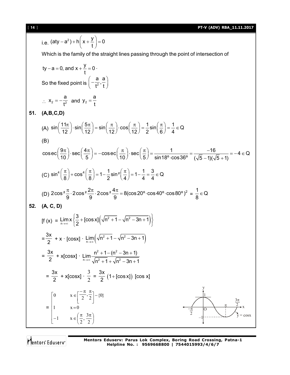[ **14** ] **PT-V (ADV) RBA\_11.11.2017**

i.e. (aty - a<sup>2</sup>) + h
$$
\left(x + \frac{y}{t}\right) = 0
$$
  
\nWhich is the family of the straight lines passing through the point of intersection of  
\n
$$
ty-a = 0, and x + \frac{y}{t} = 0
$$
\nSo the fixed points  $\left(-\frac{a}{t^2}, \frac{a}{t}\right)$   
\n $\therefore x_2 = -\frac{a}{t^2}$  and  $y_2 = \frac{a}{t}$   
\n51. (A,B,C,D)  
\n(A)  $\sin\left(\frac{11\pi}{12}\right) \cdot \sin\left(\frac{5\pi}{12}\right) = \sin\left(\frac{\pi}{12}\right) \cdot \cos\left(\frac{\pi}{12}\right) = \frac{1}{2} \sin\left(\frac{\pi}{6}\right) = \frac{1}{4} \in Q$   
\n(B)  
\n $\operatorname{cosec}\left(\frac{9\pi}{10}\right) \cdot \operatorname{sec}\left(\frac{4\pi}{5}\right) = -\operatorname{cosec}\left(\frac{\pi}{10}\right) \cdot \operatorname{sec}\left(\frac{\pi}{5}\right) = \frac{1}{\sin 18^\circ \cdot \cos 36^\circ} = \frac{-16}{(\sqrt{5} - 1)(\sqrt{5} + 1)} = -4 \in Q$   
\n(C)  $\sin^4\left(\frac{\pi}{8}\right) + \cos^4\left(\frac{\pi}{8}\right) = 1 - \frac{1}{2} \sin^2\left(\frac{\pi}{4}\right) = 1 - \frac{1}{4} = \frac{3}{4} \in Q$   
\n(D)  $2 \cos^2 \frac{\pi}{9} \cdot 2 \cos^2 \frac{2\pi}{9} \cdot 2 \cos^2 \frac{4\pi}{9} = 8(\cos 20^\circ \cdot \cos 40^\circ \cdot \cos 80^\circ)^2 = \frac{1}{8} \in Q$   
\n52. (A, C, D)  
\nIf  $(x) = \lim_{n \to \infty} x \left\{ \frac{3}{2} + [\cos x] \left( \sqrt{n^2 + 1} - \sqrt{n^2 - 3n + 1} \right) \right\}$   
\n $= \frac{3x}{2} + x \cdot [\cos x] \cdot \lim_{n \to \infty} \left( \frac{\sqrt{n^2 + 1} - \sqrt{n^2 - 3n + 1}}{\sqrt{n^2 +$ 

Mentors<sup>e</sup> Eduserv<sup>-</sup>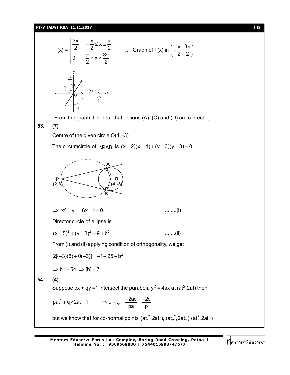**PT-V (ADV) RBA\_11.11.2017** [ **15** ]

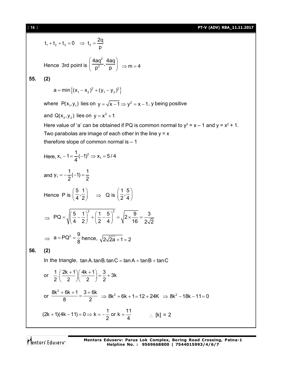[ **16** ] **PT-V (ADV) RBA\_11.11.2017**  $t_1 + t_2 + t_3 = 0 \Rightarrow t_3 = \frac{2q}{r}$ p Hence 3rd point is  $\left(\frac{4aq^2}{p^2}, \frac{4aq}{p}\right)$ 2  $\frac{4aq^2}{a}$ ,  $\frac{4aq}{a}$  $\overline{p^2}$ ,  $\overline{p}$   $\Rightarrow$  m = 4 **55. (2)**  $a = min \{ (x_1 - x_2)^2 + (y_1 - y_2)^2 \}$ where  $\ P(\mathsf{x_1},\mathsf{y_1})$  lies on  $\mathsf{y}=\sqrt{\mathsf{x-1}}\Rightarrow\mathsf{y^2}=\mathsf{x-1}$ ,  $\mathsf{y}$  being positive and  $Q(x_2, y_2)$  lies on  $y = x^2 + 1$ Here value of 'a' can be obtained if PQ is common normal to  $y^2 = x - 1$  and  $y = x^2 + 1$ . Two parabolas are image of each other in the line  $y = x$ therefore slope of common normal is – 1 Here,  $X_1 - 1 = \frac{1}{4}(-1)^2 \Rightarrow X_1 = \frac{1}{2}$  $x_1 - 1 = \frac{1}{2}(-1)^2 \Rightarrow x_1 = 5/4$ 4 and  $y_1 = -\frac{1}{2}(-1) = \frac{1}{2}$  $2'$  2 Hence P is  $\left(\frac{5}{4}, \frac{1}{2}\right) \Rightarrow$  Q is  $\left(\frac{1}{2}, \frac{5}{4}\right)$  $2^74$  $\Rightarrow$  $=\sqrt{\left(\frac{5}{4}-\frac{1}{2}\right)^2+\left(\frac{1}{2}-\frac{5}{4}\right)^2}=\sqrt{2\times\frac{9}{16}}=\frac{1}{2}$  $PQ = \sqrt{\left(\frac{5}{2} - \frac{1}{2}\right)^2 + \left(\frac{1}{2} - \frac{5}{2}\right)^2} = \sqrt{2 \times \frac{9}{10}} = \frac{3}{25}$ 4 2  $(2 \t 4)$   $\sqrt{16}$   $2\sqrt{2}$  $\Rightarrow$  a = PQ<sup>2</sup> =  $\frac{9}{9}$  $\frac{1}{8}$  hence,  $\sqrt{2\sqrt{2a}} + 1 = 2$ **56. (2)** In the triangle,  $tan A$ .tanB.tanC =  $tan A + tan B + tan C$ or  $\frac{1}{2} \cdot \left( \frac{2k+1}{2} \right) \left( \frac{4k+1}{2} \right) = \frac{3}{2} + 3k$ 2 2 2 2 or  $\frac{8k^2 + 6k + 1}{8} = \frac{3 + 6k}{3}$  $\frac{8k^2 + 6k + 1}{8} = \frac{3 + 6k}{2}$   $\Rightarrow 8k^2 + 6k + 1 = 12 + 24k$   $\Rightarrow 8k^2 - 18k - 11 = 0$  $(2k + 1)(4k - 11) = 0 \Rightarrow k = -\frac{1}{6}$  or  $k = \frac{11}{6}$  $\frac{1}{2}$  or k =  $\frac{1}{4}$   $\therefore$  [k] = 2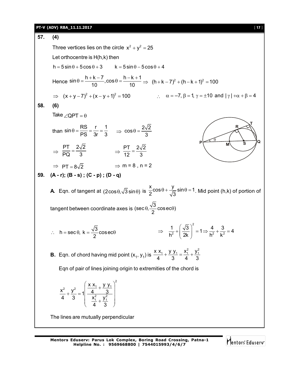#### **PT-V (ADV) RBA\_11.11.2017** [ **17** ]

**57. (4)** Three vertices lies on the circle  $x^2 + y^2 = 25$ Let orthocentre is H(h,k) then h 5 sin 5cos 3 k 5 sin 5cos 4 Hence  $\sin \theta = \frac{h + k - 7}{10}$ ,  $\cos \theta = \frac{h - k + 1}{10} \Rightarrow (h + k - 7)^2 + (h - k + 1)^2 = 100$  $\Rightarrow$   $(x+y-7)^2 + (x-y+1)^2 = 100$   $\therefore$   $\alpha = -7, \beta = 1, \gamma = \pm 10$  and  $|\gamma| + \alpha + \beta = 4$ **58. (6)** Take  $\angle$  QPT =  $\theta$  $P \overbrace{M}$  s  $\overline{Q}$ **R T M S**  $\Theta$ than  $\sin \theta = \frac{RS}{PS} = \frac{r}{3r} = \frac{1}{3}$   $\Rightarrow \cos \theta = \frac{2\sqrt{2}}{3}$ 3  $\Rightarrow \frac{PT}{PQ} = \frac{2\sqrt{2}}{2}$  $\frac{PT}{PQ} = \frac{2\sqrt{2}}{3}$   $\Rightarrow \frac{PT}{12} = \frac{2\sqrt{2}}{3}$ 12 3  $\Rightarrow$  PT =  $8\sqrt{2}$   $\Rightarrow$  m = 8, n = 2 **59. (A - r); (B - s) ; (C - p) ; (D - q) A** Eqn. of tangent at  $(2\cos\theta, \sqrt{3}\sin\theta)$  is  $\frac{x}{2}\cos\theta + \frac{y}{\sqrt{3}}\sin\theta = 1$ .  $\frac{\pi}{2}$ cos $\theta$  +  $\frac{J}{\sqrt{3}}$ sin $\theta$  = 1. Mid point (h,k) of portion of tangent between coordinate axes is (sec $\theta$ ,  $\frac{\sqrt{3}}{2}$  cosec $\theta$ ) 2  $\theta$ ,  $\sim$  cosec $\theta$ ) h = sec  $\theta$ , k =  $\frac{\sqrt{3}}{2}$ cosec 2  $\therefore$  h = sec  $\theta$ , k =  $\frac{\sqrt{6}}{2}$  cosec $\theta$ 2  $\left(\frac{1}{2^2}+\frac{\sqrt{3}}{2^2}\right)^2 = 1 \Rightarrow \frac{4}{2^2}+\frac{3}{2^2} = 4$  $h^2$   $(2k)$   $h^2$   $k^2$  $(\sqrt{3})^2$  $\Rightarrow \frac{1}{h^2} + \left(\frac{\sqrt{6}}{2k}\right) = 1 \Rightarrow \frac{1}{h^2} + \frac{\sqrt{6}}{k^2} = 4$ **B.** Eqn. of chord having mid point  $(x_1, y_1)$  is  $x x_1 + y y_1 = x_1^2 + y_1^2$ 4 3 4 3  $+\frac{y}{2}-\frac{y_1}{2}=-\frac{y_1}{2}+$ Eqn of pair of lines joining origin to extremities of the chord is 2 2  $1 + \frac{x}{1} + \frac{y}{2}$  $\frac{2}{1}$   $\frac{y_1^2}{1}$  $x x_1 + y y_1$  $\frac{x^2}{4} + \frac{y^2}{2} = 1 \frac{1}{4} \frac{4}{x^2} + \frac{3}{x^2}$ 4 3  $x_1^2$   $y_1^2$ 4 3  $\left(\frac{X X_1}{4} + \frac{Y Y_1}{3}\right)^2$  $+\frac{y}{3} = 1 \frac{4}{x_1^2 + y_1^2}$  $(43)$ The lines are mutually perpendicular